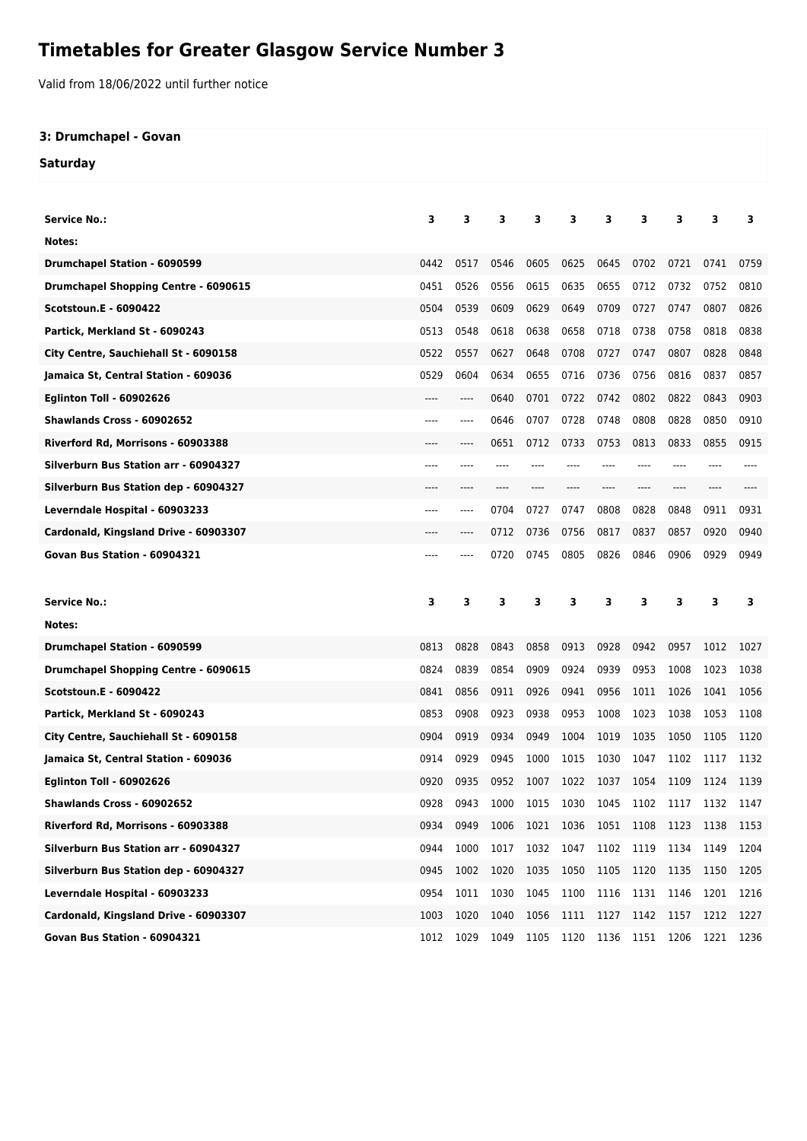## **Timetables for Greater Glasgow Service Number 3**

Valid from 18/06/2022 until further notice

## **3: Drumchapel - Govan**

**Saturday**

| <b>Service No.:</b>                         | 3    | 3    | з    | 3    | 3                        | 3    | 3    | 3         | 3    | з    |
|---------------------------------------------|------|------|------|------|--------------------------|------|------|-----------|------|------|
| Notes:                                      |      |      |      |      |                          |      |      |           |      |      |
| Drumchapel Station - 6090599                | 0442 | 0517 | 0546 | 0605 | 0625                     | 0645 | 0702 | 0721      | 0741 | 0759 |
| <b>Drumchapel Shopping Centre - 6090615</b> | 0451 | 0526 | 0556 | 0615 | 0635                     | 0655 | 0712 | 0732      | 0752 | 0810 |
| <b>Scotstoun.E - 6090422</b>                | 0504 | 0539 | 0609 | 0629 | 0649                     | 0709 | 0727 | 0747      | 0807 | 0826 |
| Partick, Merkland St - 6090243              | 0513 | 0548 | 0618 | 0638 | 0658                     | 0718 | 0738 | 0758      | 0818 | 0838 |
| City Centre, Sauchiehall St - 6090158       | 0522 | 0557 | 0627 | 0648 | 0708                     | 0727 | 0747 | 0807      | 0828 | 0848 |
| Jamaica St, Central Station - 609036        | 0529 | 0604 | 0634 | 0655 | 0716                     | 0736 | 0756 | 0816      | 0837 | 0857 |
| <b>Eglinton Toll - 60902626</b>             | ---- | ---- | 0640 | 0701 | 0722                     | 0742 | 0802 | 0822      | 0843 | 0903 |
| <b>Shawlands Cross - 60902652</b>           | ---- | ---- | 0646 | 0707 | 0728                     | 0748 | 0808 | 0828      | 0850 | 0910 |
| Riverford Rd, Morrisons - 60903388          | ---- | ---- | 0651 | 0712 | 0733                     | 0753 | 0813 | 0833      | 0855 | 0915 |
| Silverburn Bus Station arr - 60904327       | ---- | ---- | ---- |      |                          |      | ---- |           |      |      |
| Silverburn Bus Station dep - 60904327       | ---- |      |      |      |                          |      |      |           |      |      |
| Leverndale Hospital - 60903233              | ---- | ---- | 0704 | 0727 | 0747                     | 0808 | 0828 | 0848      | 0911 | 0931 |
| Cardonald, Kingsland Drive - 60903307       | ---- | ---- | 0712 | 0736 | 0756                     | 0817 | 0837 | 0857      | 0920 | 0940 |
| Govan Bus Station - 60904321                | ---- |      | 0720 | 0745 | 0805                     | 0826 | 0846 | 0906      | 0929 | 0949 |
|                                             |      |      |      |      |                          |      |      |           |      |      |
|                                             |      |      |      |      |                          |      |      |           |      |      |
| <b>Service No.:</b>                         | 3    | 3    | 3    | 3    | 3                        | 3    | 3    | 3         | 3    | 3    |
| Notes:                                      |      |      |      |      |                          |      |      |           |      |      |
| Drumchapel Station - 6090599                | 0813 | 0828 | 0843 | 0858 | 0913                     | 0928 | 0942 | 0957      | 1012 | 1027 |
| <b>Drumchapel Shopping Centre - 6090615</b> | 0824 | 0839 | 0854 | 0909 | 0924                     | 0939 | 0953 | 1008      | 1023 | 1038 |
| <b>Scotstoun.E - 6090422</b>                | 0841 | 0856 | 0911 | 0926 | 0941                     | 0956 | 1011 | 1026      | 1041 | 1056 |
| Partick, Merkland St - 6090243              | 0853 | 0908 | 0923 | 0938 | 0953                     | 1008 | 1023 | 1038      | 1053 | 1108 |
| City Centre, Sauchiehall St - 6090158       | 0904 | 0919 | 0934 | 0949 | 1004                     | 1019 | 1035 | 1050      | 1105 | 1120 |
| Jamaica St, Central Station - 609036        | 0914 | 0929 | 0945 | 1000 | 1015                     | 1030 | 1047 | 1102      | 1117 | 1132 |
| <b>Eglinton Toll - 60902626</b>             | 0920 | 0935 | 0952 | 1007 | 1022                     | 1037 | 1054 | 1109      | 1124 | 1139 |
| Shawlands Cross - 60902652                  | 0928 | 0943 |      |      | 1000 1015 1030 1045 1102 |      |      | 1117 1132 |      | 1147 |
| Riverford Rd, Morrisons - 60903388          | 0934 | 0949 | 1006 | 1021 | 1036                     | 1051 | 1108 | 1123      | 1138 | 1153 |
| Silverburn Bus Station arr - 60904327       | 0944 | 1000 | 1017 | 1032 | 1047                     | 1102 | 1119 | 1134      | 1149 | 1204 |
| Silverburn Bus Station dep - 60904327       | 0945 | 1002 | 1020 | 1035 | 1050                     | 1105 | 1120 | 1135      | 1150 | 1205 |
| Leverndale Hospital - 60903233              | 0954 | 1011 | 1030 | 1045 | 1100                     | 1116 | 1131 | 1146      | 1201 | 1216 |
| Cardonald, Kingsland Drive - 60903307       | 1003 | 1020 | 1040 | 1056 | 1111                     | 1127 | 1142 | 1157      | 1212 | 1227 |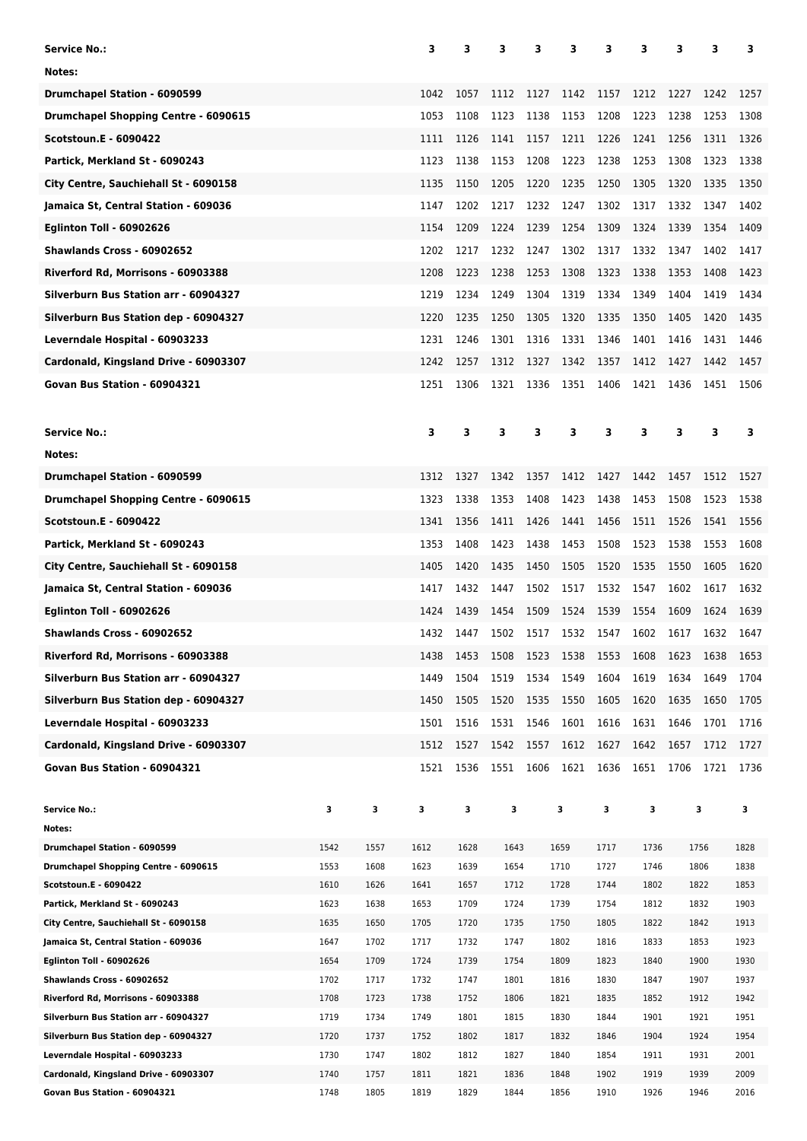| <b>Service No.:</b>                                           |              |              | 3            | з            | з            | 3    | 3            | 3            | 3            | 3    | 3            | 3            |
|---------------------------------------------------------------|--------------|--------------|--------------|--------------|--------------|------|--------------|--------------|--------------|------|--------------|--------------|
| Notes:                                                        |              |              |              |              |              |      |              |              |              |      |              |              |
| <b>Drumchapel Station - 6090599</b>                           |              |              | 1042         | 1057         | 1112         | 1127 | 1142         | 1157         | 1212         | 1227 | 1242         | 1257         |
| <b>Drumchapel Shopping Centre - 6090615</b>                   |              |              | 1053         | 1108         | 1123         | 1138 | 1153         | 1208         | 1223         | 1238 | 1253         | 1308         |
| <b>Scotstoun.E - 6090422</b>                                  |              |              | 1111         | 1126         | 1141         | 1157 | 1211         | 1226         | 1241         | 1256 | 1311         | 1326         |
| Partick, Merkland St - 6090243                                |              |              | 1123         | 1138         | 1153         | 1208 | 1223         | 1238         | 1253         | 1308 | 1323         | 1338         |
| City Centre, Sauchiehall St - 6090158                         |              |              | 1135         | 1150         | 1205         | 1220 | 1235         | 1250         | 1305         | 1320 | 1335         | 1350         |
| Jamaica St, Central Station - 609036                          |              |              | 1147         | 1202         | 1217         | 1232 | 1247         | 1302         | 1317         | 1332 | 1347         | 1402         |
| <b>Eglinton Toll - 60902626</b>                               |              |              | 1154         | 1209         | 1224         | 1239 | 1254         | 1309         | 1324         | 1339 | 1354         | 1409         |
| <b>Shawlands Cross - 60902652</b>                             |              |              | 1202         | 1217         | 1232         | 1247 | 1302         | 1317         | 1332         | 1347 | 1402         | 1417         |
|                                                               |              |              |              |              |              |      |              |              |              |      |              |              |
| Riverford Rd, Morrisons - 60903388                            |              |              | 1208         | 1223         | 1238         | 1253 | 1308         | 1323         | 1338         | 1353 | 1408         | 1423         |
| Silverburn Bus Station arr - 60904327                         |              |              | 1219         | 1234         | 1249         | 1304 | 1319         | 1334         | 1349         | 1404 | 1419         | 1434         |
| Silverburn Bus Station dep - 60904327                         |              |              | 1220         | 1235         | 1250         | 1305 | 1320         | 1335         | 1350         | 1405 | 1420         | 1435         |
| Leverndale Hospital - 60903233                                |              |              | 1231         | 1246         | 1301         | 1316 | 1331         | 1346         | 1401         | 1416 | 1431         | 1446         |
| Cardonald, Kingsland Drive - 60903307                         |              |              | 1242         | 1257         | 1312         | 1327 | 1342         | 1357         | 1412         | 1427 | 1442         | 1457         |
| Govan Bus Station - 60904321                                  |              |              | 1251         | 1306         | 1321         | 1336 | 1351         | 1406         | 1421         | 1436 | 1451         | 1506         |
|                                                               |              |              |              |              |              |      |              |              |              |      |              |              |
| <b>Service No.:</b>                                           |              |              | з            | 3            | 3            | 3    | з            | 3            | 3            | 3    | 3            | з            |
| Notes:                                                        |              |              |              |              |              |      |              |              |              |      |              |              |
| Drumchapel Station - 6090599                                  |              |              | 1312         | 1327         | 1342         | 1357 | 1412         | 1427         | 1442         | 1457 | 1512         | 1527         |
| Drumchapel Shopping Centre - 6090615                          |              |              | 1323         | 1338         | 1353         | 1408 | 1423         | 1438         | 1453         | 1508 | 1523         | 1538         |
| <b>Scotstoun.E - 6090422</b>                                  |              |              | 1341         | 1356         | 1411         | 1426 | 1441         | 1456         | 1511         | 1526 | 1541         | 1556         |
| Partick, Merkland St - 6090243                                |              |              | 1353         | 1408         | 1423         | 1438 | 1453         | 1508         | 1523         | 1538 | 1553         | 1608         |
| City Centre, Sauchiehall St - 6090158                         |              |              | 1405         | 1420         | 1435         | 1450 | 1505         | 1520         | 1535         | 1550 | 1605         | 1620         |
| Jamaica St, Central Station - 609036                          |              |              | 1417         | 1432         | 1447         | 1502 | 1517         | 1532         | 1547         | 1602 | 1617         | 1632         |
| <b>Eglinton Toll - 60902626</b>                               |              |              | 1424         | 1439         | 1454         | 1509 | 1524         | 1539         | 1554         | 1609 | 1624         | 1639         |
| <b>Shawlands Cross - 60902652</b>                             |              |              | 1432         | 1447         | 1502         | 1517 | 1532 1547    |              | 1602         | 1617 | 1632         | 1647         |
| Riverford Rd, Morrisons - 60903388                            |              |              | 1438         | 1453         | 1508         | 1523 | 1538         | 1553         | 1608         | 1623 | 1638         | 1653         |
| Silverburn Bus Station arr - 60904327                         |              |              | 1449         | 1504         | 1519         | 1534 | 1549         | 1604         | 1619         | 1634 | 1649         | 1704         |
| Silverburn Bus Station dep - 60904327                         |              |              | 1450         | 1505         | 1520         | 1535 | 1550         | 1605         | 1620         | 1635 | 1650         | 1705         |
| Leverndale Hospital - 60903233                                |              |              | 1501         | 1516         | 1531         | 1546 | 1601         | 1616         | 1631         | 1646 | 1701         | 1716         |
| Cardonald, Kingsland Drive - 60903307                         |              |              | 1512         | 1527         | 1542         | 1557 | 1612         | 1627         | 1642         | 1657 | 1712         | 1727         |
| Govan Bus Station - 60904321                                  |              |              | 1521         | 1536         | 1551         | 1606 | 1621         | 1636         | 1651         | 1706 | 1721         | 1736         |
|                                                               |              |              |              |              |              |      |              |              |              |      |              |              |
| <b>Service No.:</b>                                           | 3            | з            | 3            | 3            | 3            |      | з            | з            | 3            |      | з            | з            |
| Notes:                                                        |              |              |              |              |              |      |              |              |              |      |              |              |
| Drumchapel Station - 6090599                                  | 1542         | 1557         | 1612         | 1628         | 1643         |      | 1659         | 1717         | 1736         |      | 1756         | 1828         |
| Drumchapel Shopping Centre - 6090615                          | 1553         | 1608         | 1623         | 1639         | 1654         |      | 1710         | 1727         | 1746         |      | 1806         | 1838         |
| <b>Scotstoun.E - 6090422</b>                                  | 1610         | 1626         | 1641         | 1657         | 1712         |      | 1728         | 1744         | 1802         |      | 1822         | 1853         |
| Partick, Merkland St - 6090243                                | 1623         | 1638         | 1653         | 1709         | 1724         |      | 1739         | 1754         | 1812         |      | 1832         | 1903         |
| City Centre, Sauchiehall St - 6090158                         | 1635         | 1650         | 1705         | 1720         | 1735         |      | 1750         | 1805         | 1822         |      | 1842         | 1913         |
| Jamaica St, Central Station - 609036                          | 1647<br>1654 | 1702<br>1709 | 1717         | 1732         | 1747<br>1754 |      | 1802<br>1809 | 1816<br>1823 | 1833<br>1840 |      | 1853<br>1900 | 1923         |
| <b>Eglinton Toll - 60902626</b><br>Shawlands Cross - 60902652 | 1702         | 1717         | 1724<br>1732 | 1739<br>1747 | 1801         |      | 1816         | 1830         | 1847         |      | 1907         | 1930<br>1937 |
| Riverford Rd, Morrisons - 60903388                            | 1708         | 1723         | 1738         | 1752         | 1806         |      | 1821         | 1835         | 1852         |      | 1912         | 1942         |
| Silverburn Bus Station arr - 60904327                         | 1719         | 1734         | 1749         | 1801         | 1815         |      | 1830         | 1844         | 1901         |      | 1921         | 1951         |
| Silverburn Bus Station dep - 60904327                         | 1720         | 1737         | 1752         | 1802         | 1817         |      | 1832         | 1846         | 1904         |      | 1924         | 1954         |
| Leverndale Hospital - 60903233                                | 1730         | 1747         | 1802         | 1812         | 1827         |      | 1840         | 1854         | 1911         |      | 1931         | 2001         |
| Cardonald, Kingsland Drive - 60903307                         | 1740         | 1757         | 1811         | 1821         | 1836         |      | 1848         | 1902         | 1919         |      | 1939         | 2009         |
| Govan Bus Station - 60904321                                  | 1748         | 1805         | 1819         | 1829         | 1844         |      | 1856         | 1910         | 1926         |      | 1946         | 2016         |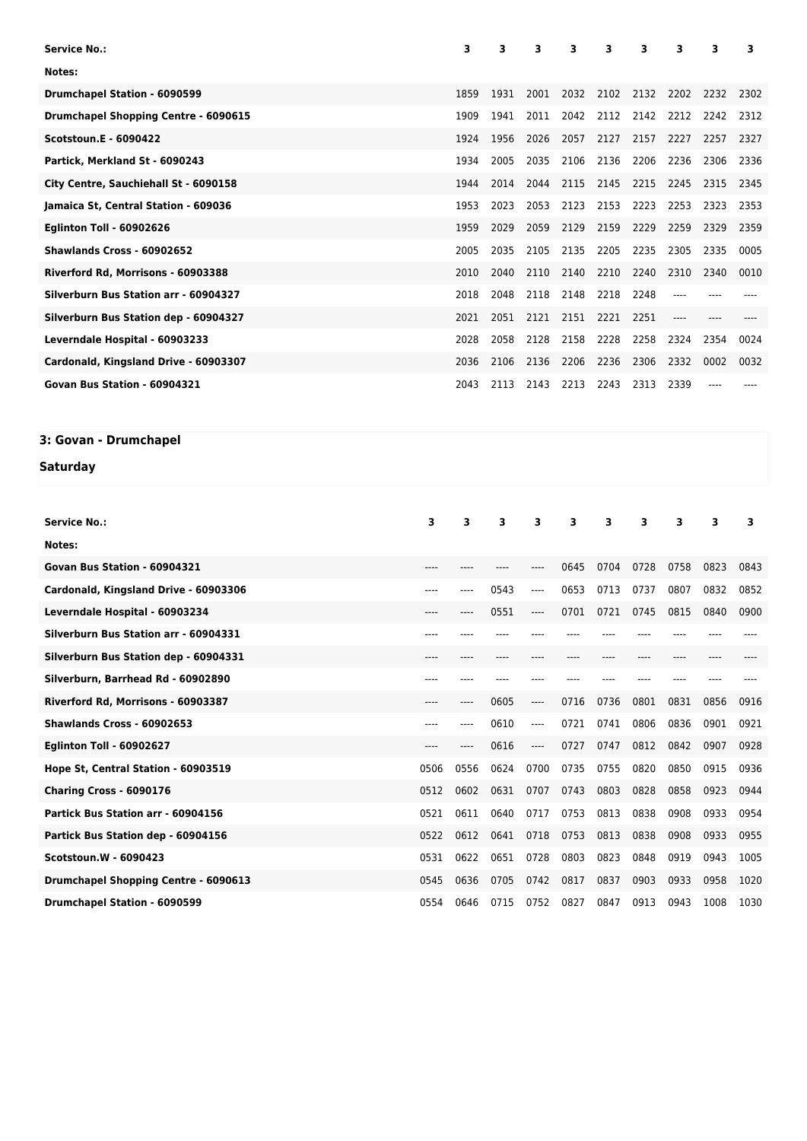| Service No.:                                | 3    | 3    | 3    | 3    | 3         | з         | 3    | 3    | 3    |
|---------------------------------------------|------|------|------|------|-----------|-----------|------|------|------|
| Notes:                                      |      |      |      |      |           |           |      |      |      |
| Drumchapel Station - 6090599                | 1859 | 1931 | 2001 | 2032 | 2102      | 2132      | 2202 | 2232 | 2302 |
| <b>Drumchapel Shopping Centre - 6090615</b> | 1909 | 1941 | 2011 | 2042 |           | 2112 2142 | 2212 | 2242 | 2312 |
| <b>Scotstoun.E - 6090422</b>                | 1924 | 1956 | 2026 | 2057 | 2127      | 2157      | 2227 | 2257 | 2327 |
| Partick, Merkland St - 6090243              | 1934 | 2005 | 2035 | 2106 | 2136      | 2206      | 2236 | 2306 | 2336 |
| City Centre, Sauchiehall St - 6090158       | 1944 | 2014 | 2044 | 2115 | 2145      | 2215      | 2245 | 2315 | 2345 |
| Jamaica St, Central Station - 609036        | 1953 | 2023 | 2053 | 2123 | 2153      | 2223      | 2253 | 2323 | 2353 |
| <b>Eglinton Toll - 60902626</b>             | 1959 | 2029 | 2059 | 2129 | 2159      | 2229      | 2259 | 2329 | 2359 |
| Shawlands Cross - 60902652                  | 2005 | 2035 | 2105 | 2135 | 2205      | 2235      | 2305 | 2335 | 0005 |
| Riverford Rd, Morrisons - 60903388          | 2010 | 2040 | 2110 | 2140 | 2210 2240 |           | 2310 | 2340 | 0010 |
| Silverburn Bus Station arr - 60904327       | 2018 | 2048 | 2118 | 2148 | 2218      | 2248      |      |      |      |
| Silverburn Bus Station dep - 60904327       | 2021 | 2051 | 2121 | 2151 | 2221      | 2251      | ---- |      |      |
| Leverndale Hospital - 60903233              | 2028 | 2058 | 2128 | 2158 | 2228      | 2258      | 2324 | 2354 | 0024 |
| Cardonald, Kingsland Drive - 60903307       | 2036 | 2106 | 2136 | 2206 | 2236      | 2306      | 2332 | 0002 | 0032 |
| Govan Bus Station - 60904321                | 2043 | 2113 | 2143 | 2213 | 2243      | 2313      | 2339 |      |      |

## **3: Govan - Drumchapel**

## **Saturday**

| <b>Service No.:</b>                         | 3         | 3    | 3    | 3     | 3    | 3    | 3    | 3    | 3    | 3    |
|---------------------------------------------|-----------|------|------|-------|------|------|------|------|------|------|
| Notes:                                      |           |      |      |       |      |      |      |      |      |      |
| Govan Bus Station - 60904321                | ----      |      |      |       | 0645 | 0704 | 0728 | 0758 | 0823 | 0843 |
| Cardonald, Kingsland Drive - 60903306       | ----      |      | 0543 | ----  | 0653 | 0713 | 0737 | 0807 | 0832 | 0852 |
| Leverndale Hospital - 60903234              | ----      | ---- | 0551 | ----  | 0701 | 0721 | 0745 | 0815 | 0840 | 0900 |
| Silverburn Bus Station arr - 60904331       | ----      |      |      |       |      |      |      |      |      |      |
| Silverburn Bus Station dep - 60904331       | ----      |      |      |       |      |      |      |      |      |      |
| Silverburn, Barrhead Rd - 60902890          | ----      |      |      |       |      |      |      |      |      |      |
| Riverford Rd, Morrisons - 60903387          | $- - - -$ | ---- | 0605 | $---$ | 0716 | 0736 | 0801 | 0831 | 0856 | 0916 |
| Shawlands Cross - 60902653                  | ----      | ---- | 0610 | $---$ | 0721 | 0741 | 0806 | 0836 | 0901 | 0921 |
| <b>Eglinton Toll - 60902627</b>             | ----      | ---- | 0616 | $---$ | 0727 | 0747 | 0812 | 0842 | 0907 | 0928 |
| Hope St, Central Station - 60903519         | 0506      | 0556 | 0624 | 0700  | 0735 | 0755 | 0820 | 0850 | 0915 | 0936 |
| Charing Cross - 6090176                     | 0512      | 0602 | 0631 | 0707  | 0743 | 0803 | 0828 | 0858 | 0923 | 0944 |
| Partick Bus Station arr - 60904156          | 0521      | 0611 | 0640 | 0717  | 0753 | 0813 | 0838 | 0908 | 0933 | 0954 |
| Partick Bus Station dep - 60904156          | 0522      | 0612 | 0641 | 0718  | 0753 | 0813 | 0838 | 0908 | 0933 | 0955 |
| <b>Scotstoun.W - 6090423</b>                | 0531      | 0622 | 0651 | 0728  | 0803 | 0823 | 0848 | 0919 | 0943 | 1005 |
| <b>Drumchapel Shopping Centre - 6090613</b> | 0545      | 0636 | 0705 | 0742  | 0817 | 0837 | 0903 | 0933 | 0958 | 1020 |
| <b>Drumchapel Station - 6090599</b>         | 0554      | 0646 | 0715 | 0752  | 0827 | 0847 | 0913 | 0943 | 1008 | 1030 |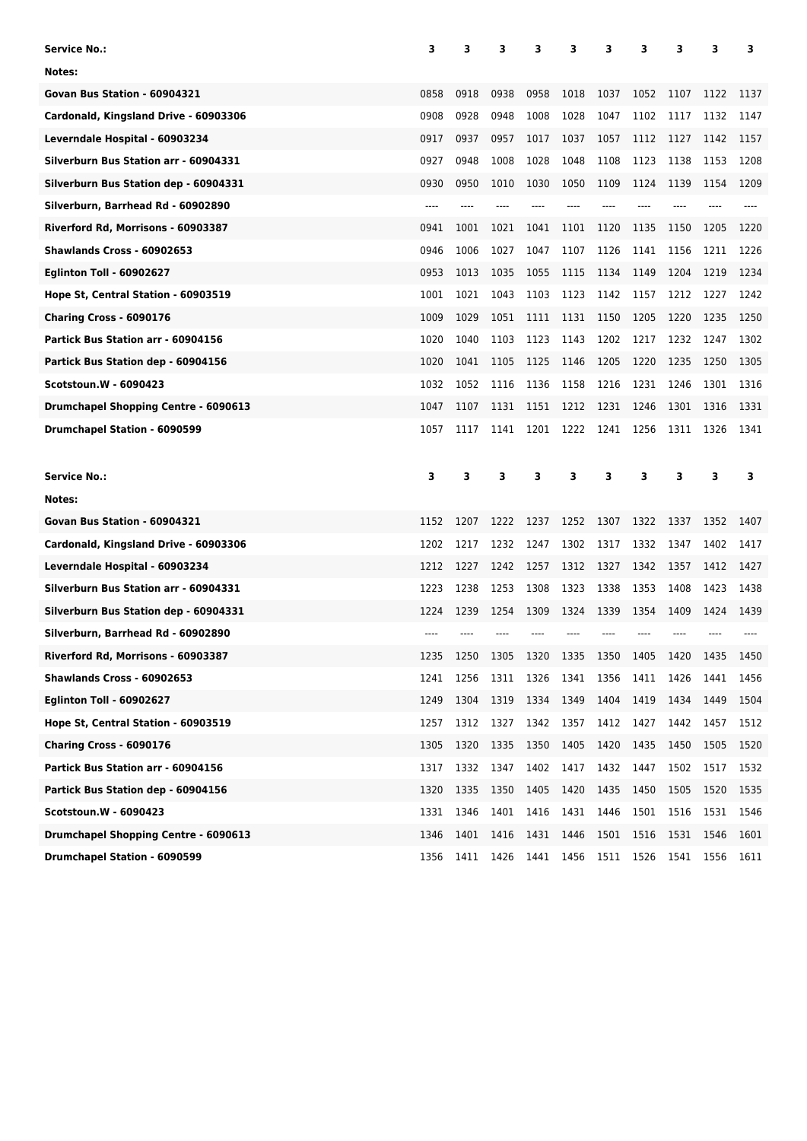| <b>Service No.:</b>                         | 3     | з    | з    | з    | 3         | 3    | 3    | 3    | 3    | з            |
|---------------------------------------------|-------|------|------|------|-----------|------|------|------|------|--------------|
| Notes:                                      |       |      |      |      |           |      |      |      |      |              |
| Govan Bus Station - 60904321                | 0858  | 0918 | 0938 | 0958 | 1018      | 1037 | 1052 | 1107 | 1122 | 1137         |
| Cardonald, Kingsland Drive - 60903306       | 0908  | 0928 | 0948 | 1008 | 1028      | 1047 | 1102 | 1117 | 1132 | 1147         |
| Leverndale Hospital - 60903234              | 0917  | 0937 | 0957 | 1017 | 1037      | 1057 | 1112 | 1127 | 1142 | 1157         |
| Silverburn Bus Station arr - 60904331       | 0927  | 0948 | 1008 | 1028 | 1048      | 1108 | 1123 | 1138 | 1153 | 1208         |
| Silverburn Bus Station dep - 60904331       | 0930  | 0950 | 1010 | 1030 | 1050      | 1109 | 1124 | 1139 | 1154 | 1209         |
| Silverburn, Barrhead Rd - 60902890          | $---$ |      |      |      |           |      |      |      |      |              |
| Riverford Rd, Morrisons - 60903387          | 0941  | 1001 | 1021 | 1041 | 1101      | 1120 | 1135 | 1150 | 1205 | 1220         |
| Shawlands Cross - 60902653                  | 0946  | 1006 | 1027 | 1047 | 1107      | 1126 | 1141 | 1156 | 1211 | 1226         |
| <b>Eglinton Toll - 60902627</b>             | 0953  | 1013 | 1035 | 1055 | 1115      | 1134 | 1149 | 1204 | 1219 | 1234         |
| Hope St, Central Station - 60903519         | 1001  | 1021 | 1043 | 1103 | 1123      | 1142 | 1157 | 1212 | 1227 | 1242         |
| Charing Cross - 6090176                     | 1009  | 1029 | 1051 | 1111 | 1131      | 1150 | 1205 | 1220 | 1235 | 1250         |
| Partick Bus Station arr - 60904156          | 1020  | 1040 | 1103 | 1123 | 1143      | 1202 | 1217 | 1232 | 1247 | 1302         |
| Partick Bus Station dep - 60904156          | 1020  | 1041 | 1105 | 1125 | 1146      | 1205 | 1220 | 1235 | 1250 | 1305         |
| <b>Scotstoun.W - 6090423</b>                | 1032  | 1052 | 1116 | 1136 | 1158      | 1216 | 1231 | 1246 | 1301 | 1316         |
| Drumchapel Shopping Centre - 6090613        | 1047  | 1107 | 1131 | 1151 | 1212      | 1231 | 1246 | 1301 | 1316 | 1331         |
| Drumchapel Station - 6090599                | 1057  | 1117 | 1141 | 1201 | 1222      | 1241 | 1256 | 1311 | 1326 | 1341         |
|                                             |       |      |      |      |           |      |      |      |      |              |
| <b>Service No.:</b>                         | 3     | 3    | 3    | 3    | 3         | з    | 3    | 3    | 3    | 3            |
| Notes:                                      |       |      |      |      |           |      |      |      |      |              |
| Govan Bus Station - 60904321                | 1152  | 1207 | 1222 | 1237 | 1252      | 1307 | 1322 | 1337 | 1352 |              |
| Cardonald, Kingsland Drive - 60903306       | 1202  | 1217 | 1232 | 1247 | 1302      | 1317 | 1332 | 1347 | 1402 | 1407<br>1417 |
| Leverndale Hospital - 60903234              | 1212  | 1227 | 1242 | 1257 | 1312      | 1327 | 1342 | 1357 | 1412 | 1427         |
| Silverburn Bus Station arr - 60904331       | 1223  | 1238 | 1253 | 1308 | 1323      | 1338 | 1353 | 1408 | 1423 | 1438         |
| Silverburn Bus Station dep - 60904331       | 1224  | 1239 | 1254 | 1309 | 1324      | 1339 | 1354 | 1409 | 1424 | 1439         |
| Silverburn, Barrhead Rd - 60902890          |       |      |      |      |           |      |      |      |      |              |
| Riverford Rd, Morrisons - 60903387          | 1235  | 1250 | 1305 | 1320 | 1335 1350 |      | 1405 | 1420 | 1435 | 1450         |
| <b>Shawlands Cross - 60902653</b>           | 1241  | 1256 | 1311 | 1326 | 1341      | 1356 | 1411 | 1426 | 1441 | 1456         |
| Eglinton Toll - 60902627                    | 1249  | 1304 | 1319 | 1334 | 1349      | 1404 | 1419 | 1434 | 1449 | 1504         |
| Hope St, Central Station - 60903519         | 1257  | 1312 | 1327 | 1342 | 1357      | 1412 | 1427 | 1442 | 1457 | 1512         |
| Charing Cross - 6090176                     | 1305  | 1320 | 1335 | 1350 | 1405      | 1420 | 1435 | 1450 | 1505 | 1520         |
| Partick Bus Station arr - 60904156          | 1317  | 1332 | 1347 | 1402 | 1417      | 1432 | 1447 | 1502 | 1517 | 1532         |
| Partick Bus Station dep - 60904156          | 1320  | 1335 | 1350 | 1405 | 1420      | 1435 | 1450 | 1505 | 1520 | 1535         |
| Scotstoun.W - 6090423                       | 1331  | 1346 | 1401 | 1416 | 1431      | 1446 | 1501 | 1516 | 1531 | 1546         |
| <b>Drumchapel Shopping Centre - 6090613</b> | 1346  | 1401 | 1416 | 1431 | 1446      | 1501 | 1516 | 1531 | 1546 | 1601         |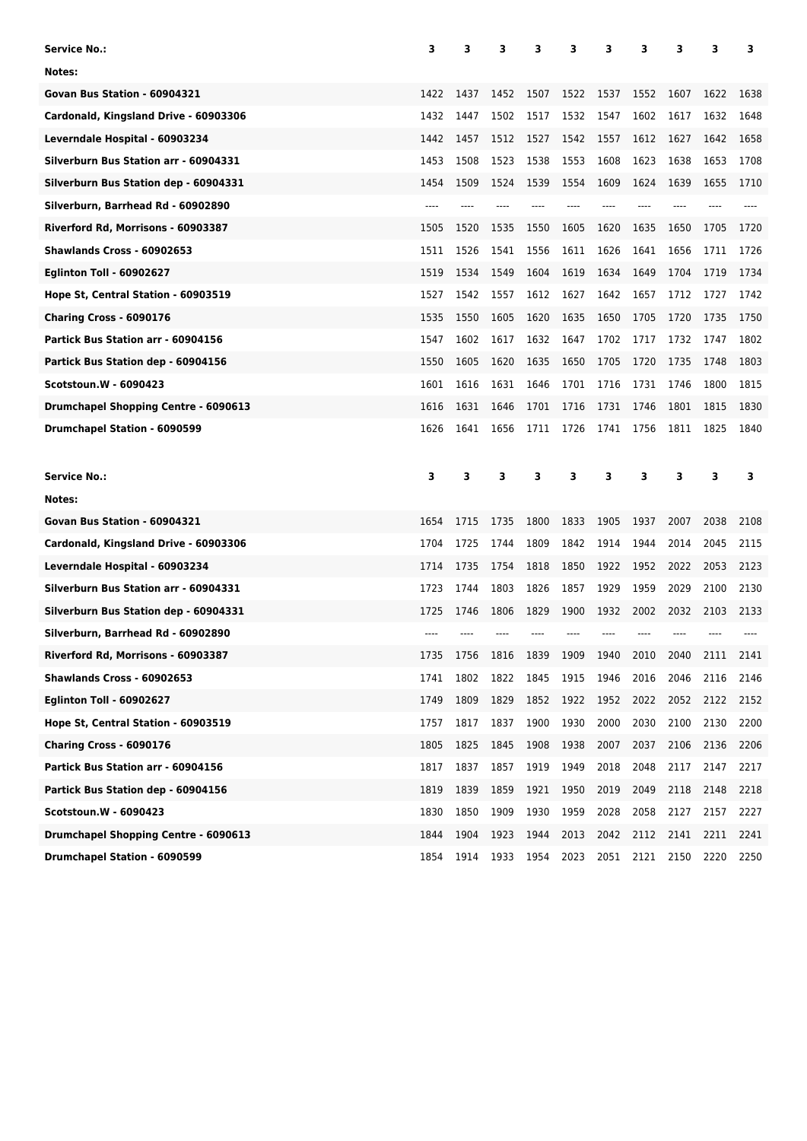| Service No.:                                | 3     | з    | 3    | 3    | 3    | 3    | 3    | 3    | 3    | з    |
|---------------------------------------------|-------|------|------|------|------|------|------|------|------|------|
| Notes:                                      |       |      |      |      |      |      |      |      |      |      |
| Govan Bus Station - 60904321                | 1422  | 1437 | 1452 | 1507 | 1522 | 1537 | 1552 | 1607 | 1622 | 1638 |
| Cardonald, Kingsland Drive - 60903306       | 1432  | 1447 | 1502 | 1517 | 1532 | 1547 | 1602 | 1617 | 1632 | 1648 |
| Leverndale Hospital - 60903234              | 1442  | 1457 | 1512 | 1527 | 1542 | 1557 | 1612 | 1627 | 1642 | 1658 |
| Silverburn Bus Station arr - 60904331       | 1453  | 1508 | 1523 | 1538 | 1553 | 1608 | 1623 | 1638 | 1653 | 1708 |
| Silverburn Bus Station dep - 60904331       | 1454  | 1509 | 1524 | 1539 | 1554 | 1609 | 1624 | 1639 | 1655 | 1710 |
| Silverburn, Barrhead Rd - 60902890          | $---$ |      |      |      |      |      |      |      |      |      |
| Riverford Rd, Morrisons - 60903387          | 1505  | 1520 | 1535 | 1550 | 1605 | 1620 | 1635 | 1650 | 1705 | 1720 |
| Shawlands Cross - 60902653                  | 1511  | 1526 | 1541 | 1556 | 1611 | 1626 | 1641 | 1656 | 1711 | 1726 |
| <b>Eglinton Toll - 60902627</b>             | 1519  | 1534 | 1549 | 1604 | 1619 | 1634 | 1649 | 1704 | 1719 | 1734 |
| Hope St, Central Station - 60903519         | 1527  | 1542 | 1557 | 1612 | 1627 | 1642 | 1657 | 1712 | 1727 | 1742 |
| Charing Cross - 6090176                     | 1535  | 1550 | 1605 | 1620 | 1635 | 1650 | 1705 | 1720 | 1735 | 1750 |
| Partick Bus Station arr - 60904156          | 1547  | 1602 | 1617 | 1632 | 1647 | 1702 | 1717 | 1732 | 1747 | 1802 |
| Partick Bus Station dep - 60904156          | 1550  | 1605 | 1620 | 1635 | 1650 | 1705 | 1720 | 1735 | 1748 | 1803 |
| <b>Scotstoun.W - 6090423</b>                | 1601  | 1616 | 1631 | 1646 | 1701 | 1716 | 1731 | 1746 | 1800 | 1815 |
| Drumchapel Shopping Centre - 6090613        | 1616  | 1631 | 1646 | 1701 | 1716 | 1731 | 1746 | 1801 | 1815 | 1830 |
| Drumchapel Station - 6090599                | 1626  | 1641 | 1656 | 1711 | 1726 | 1741 | 1756 | 1811 | 1825 | 1840 |
|                                             |       |      |      |      |      |      |      |      |      |      |
| <b>Service No.:</b>                         | 3     | 3    | 3    | 3    | 3    | 3    | 3    | 3    | 3    | 3    |
| Notes:                                      |       |      |      |      |      |      |      |      |      |      |
| Govan Bus Station - 60904321                | 1654  | 1715 | 1735 | 1800 | 1833 | 1905 | 1937 | 2007 | 2038 | 2108 |
| Cardonald, Kingsland Drive - 60903306       | 1704  | 1725 | 1744 | 1809 | 1842 | 1914 | 1944 | 2014 | 2045 | 2115 |
| Leverndale Hospital - 60903234              | 1714  | 1735 | 1754 | 1818 | 1850 | 1922 | 1952 | 2022 | 2053 | 2123 |
| Silverburn Bus Station arr - 60904331       | 1723  | 1744 | 1803 | 1826 | 1857 | 1929 | 1959 | 2029 | 2100 | 2130 |
| Silverburn Bus Station dep - 60904331       | 1725  | 1746 | 1806 | 1829 | 1900 | 1932 | 2002 | 2032 | 2103 | 2133 |
| Silverburn, Barrhead Rd - 60902890          |       |      |      |      |      |      |      |      |      |      |
| Riverford Rd, Morrisons - 60903387          | 1735  | 1756 | 1816 | 1839 | 1909 | 1940 | 2010 | 2040 | 2111 | 2141 |
| Shawlands Cross - 60902653                  | 1741  | 1802 | 1822 | 1845 | 1915 | 1946 | 2016 | 2046 | 2116 | 2146 |
| <b>Eglinton Toll - 60902627</b>             | 1749  | 1809 | 1829 | 1852 | 1922 | 1952 | 2022 | 2052 | 2122 | 2152 |
| Hope St, Central Station - 60903519         | 1757  | 1817 | 1837 | 1900 | 1930 | 2000 | 2030 | 2100 | 2130 | 2200 |
| Charing Cross - 6090176                     | 1805  | 1825 | 1845 | 1908 | 1938 | 2007 | 2037 | 2106 | 2136 | 2206 |
| Partick Bus Station arr - 60904156          | 1817  | 1837 | 1857 | 1919 | 1949 | 2018 | 2048 | 2117 | 2147 | 2217 |
| Partick Bus Station dep - 60904156          | 1819  | 1839 | 1859 | 1921 | 1950 | 2019 | 2049 | 2118 | 2148 | 2218 |
| Scotstoun.W - 6090423                       | 1830  | 1850 | 1909 | 1930 | 1959 | 2028 | 2058 | 2127 | 2157 | 2227 |
| <b>Drumchapel Shopping Centre - 6090613</b> | 1844  | 1904 | 1923 | 1944 | 2013 | 2042 | 2112 | 2141 | 2211 | 2241 |